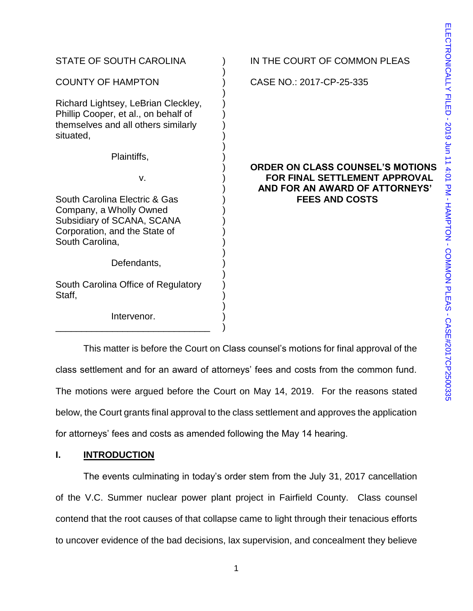| STATE OF SOUTH CAROLINA                                                                                                                    | IN THE COURT OF COMMON PLEAS                                                                                      |
|--------------------------------------------------------------------------------------------------------------------------------------------|-------------------------------------------------------------------------------------------------------------------|
| <b>COUNTY OF HAMPTON</b>                                                                                                                   | CASE NO.: 2017-CP-25-335                                                                                          |
| Richard Lightsey, LeBrian Cleckley,<br>Phillip Cooper, et al., on behalf of<br>themselves and all others similarly<br>situated,            |                                                                                                                   |
| Plaintiffs,                                                                                                                                |                                                                                                                   |
| V.                                                                                                                                         | <b>ORDER ON CLASS COUNSEL'S MOTIONS</b><br><b>FOR FINAL SETTLEMENT APPROVAL</b><br>AND FOR AN AWARD OF ATTORNEYS' |
| South Carolina Electric & Gas<br>Company, a Wholly Owned<br>Subsidiary of SCANA, SCANA<br>Corporation, and the State of<br>South Carolina, | <b>FEES AND COSTS</b>                                                                                             |
| Defendants,                                                                                                                                |                                                                                                                   |
| South Carolina Office of Regulatory<br>Staff,                                                                                              |                                                                                                                   |
| Intervenor.                                                                                                                                |                                                                                                                   |

This matter is before the Court on Class counsel's motions for final approval of the class settlement and for an award of attorneys' fees and costs from the common fund. The motions were argued before the Court on May 14, 2019. For the reasons stated below, the Court grants final approval to the class settlement and approves the application for attorneys' fees and costs as amended following the May 14 hearing.

# **I. INTRODUCTION**

The events culminating in today's order stem from the July 31, 2017 cancellation of the V.C. Summer nuclear power plant project in Fairfield County. Class counsel contend that the root causes of that collapse came to light through their tenacious efforts to uncover evidence of the bad decisions, lax supervision, and concealment they believe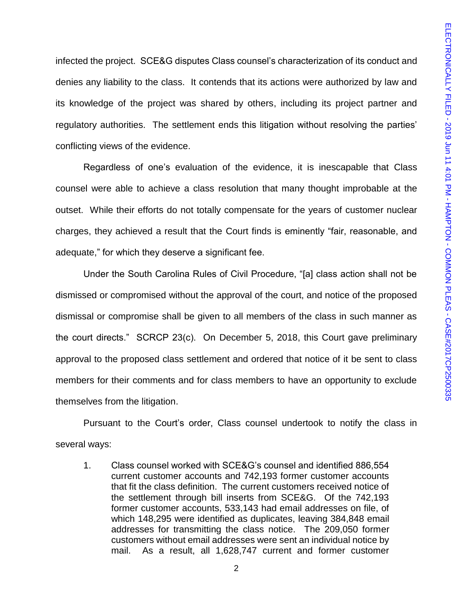infected the project. SCE&G disputes Class counsel's characterization of its conduct and denies any liability to the class. It contends that its actions were authorized by law and its knowledge of the project was shared by others, including its project partner and regulatory authorities. The settlement ends this litigation without resolving the parties' conflicting views of the evidence.

Regardless of one's evaluation of the evidence, it is inescapable that Class counsel were able to achieve a class resolution that many thought improbable at the outset. While their efforts do not totally compensate for the years of customer nuclear charges, they achieved a result that the Court finds is eminently "fair, reasonable, and adequate," for which they deserve a significant fee.

Under the South Carolina Rules of Civil Procedure, "[a] class action shall not be dismissed or compromised without the approval of the court, and notice of the proposed dismissal or compromise shall be given to all members of the class in such manner as the court directs." SCRCP 23(c). On December 5, 2018, this Court gave preliminary approval to the proposed class settlement and ordered that notice of it be sent to class members for their comments and for class members to have an opportunity to exclude themselves from the litigation.

Pursuant to the Court's order, Class counsel undertook to notify the class in several ways:

1. Class counsel worked with SCE&G's counsel and identified 886,554 current customer accounts and 742,193 former customer accounts that fit the class definition. The current customers received notice of the settlement through bill inserts from SCE&G. Of the 742,193 former customer accounts, 533,143 had email addresses on file, of which 148,295 were identified as duplicates, leaving 384,848 email addresses for transmitting the class notice. The 209,050 former customers without email addresses were sent an individual notice by mail. As a result, all 1,628,747 current and former customer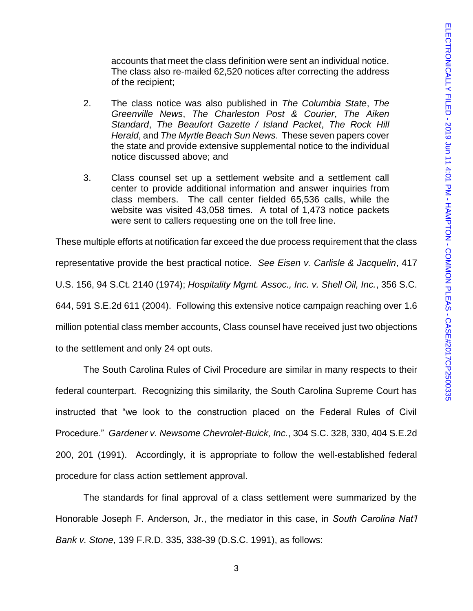accounts that meet the class definition were sent an individual notice. The class also re-mailed 62,520 notices after correcting the address of the recipient;

- 2. The class notice was also published in *The Columbia State*, *The Greenville News*, *The Charleston Post & Courier*, *The Aiken Standard*, *The Beaufort Gazette / Island Packet*, *The Rock Hill Herald*, and *The Myrtle Beach Sun News*. These seven papers cover the state and provide extensive supplemental notice to the individual notice discussed above; and
- 3. Class counsel set up a settlement website and a settlement call center to provide additional information and answer inquiries from class members. The call center fielded 65,536 calls, while the website was visited 43,058 times. A total of 1,473 notice packets were sent to callers requesting one on the toll free line.

These multiple efforts at notification far exceed the due process requirement that the class representative provide the best practical notice. *See Eisen v. Carlisle & Jacquelin*, 417 U.S. 156, 94 S.Ct. 2140 (1974); *Hospitality Mgmt. Assoc., Inc. v. Shell Oil, Inc.*, 356 S.C. 644, 591 S.E.2d 611 (2004). Following this extensive notice campaign reaching over 1.6 million potential class member accounts, Class counsel have received just two objections to the settlement and only 24 opt outs.

The South Carolina Rules of Civil Procedure are similar in many respects to their federal counterpart. Recognizing this similarity, the South Carolina Supreme Court has instructed that "we look to the construction placed on the Federal Rules of Civil Procedure." *Gardener v. Newsome Chevrolet-Buick, Inc.*, 304 S.C. 328, 330, 404 S.E.2d 200, 201 (1991). Accordingly, it is appropriate to follow the well-established federal procedure for class action settlement approval.

The standards for final approval of a class settlement were summarized by the Honorable Joseph F. Anderson, Jr., the mediator in this case, in *South Carolina Nat'l Bank v. Stone*, 139 F.R.D. 335, 338-39 (D.S.C. 1991), as follows: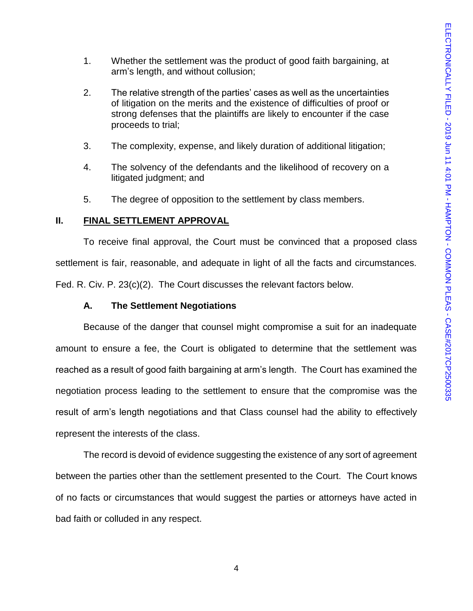- 1. Whether the settlement was the product of good faith bargaining, at arm's length, and without collusion;
- 2. The relative strength of the parties' cases as well as the uncertainties of litigation on the merits and the existence of difficulties of proof or strong defenses that the plaintiffs are likely to encounter if the case proceeds to trial;
- 3. The complexity, expense, and likely duration of additional litigation;
- 4. The solvency of the defendants and the likelihood of recovery on a litigated judgment; and
- 5. The degree of opposition to the settlement by class members.

### **II. FINAL SETTLEMENT APPROVAL**

To receive final approval, the Court must be convinced that a proposed class settlement is fair, reasonable, and adequate in light of all the facts and circumstances. Fed. R. Civ. P. 23(c)(2). The Court discusses the relevant factors below.

### **A. The Settlement Negotiations**

Because of the danger that counsel might compromise a suit for an inadequate amount to ensure a fee, the Court is obligated to determine that the settlement was reached as a result of good faith bargaining at arm's length. The Court has examined the negotiation process leading to the settlement to ensure that the compromise was the result of arm's length negotiations and that Class counsel had the ability to effectively represent the interests of the class.

The record is devoid of evidence suggesting the existence of any sort of agreement between the parties other than the settlement presented to the Court. The Court knows of no facts or circumstances that would suggest the parties or attorneys have acted in bad faith or colluded in any respect.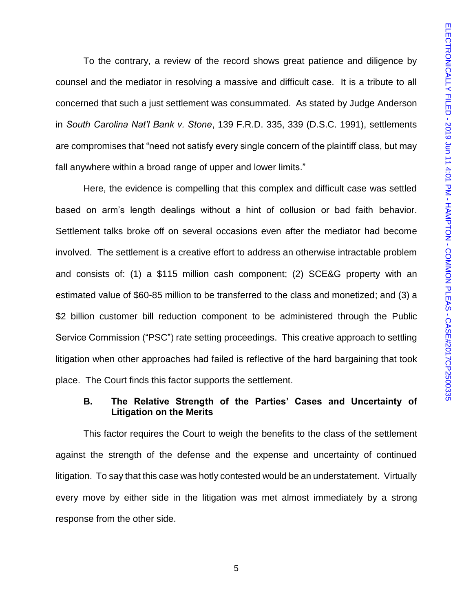To the contrary, a review of the record shows great patience and diligence by counsel and the mediator in resolving a massive and difficult case. It is a tribute to all concerned that such a just settlement was consummated. As stated by Judge Anderson in *South Carolina Nat'l Bank v. Stone*, 139 F.R.D. 335, 339 (D.S.C. 1991), settlements are compromises that "need not satisfy every single concern of the plaintiff class, but may fall anywhere within a broad range of upper and lower limits."

Here, the evidence is compelling that this complex and difficult case was settled based on arm's length dealings without a hint of collusion or bad faith behavior. Settlement talks broke off on several occasions even after the mediator had become involved. The settlement is a creative effort to address an otherwise intractable problem and consists of: (1) a \$115 million cash component; (2) SCE&G property with an estimated value of \$60-85 million to be transferred to the class and monetized; and (3) a \$2 billion customer bill reduction component to be administered through the Public Service Commission ("PSC") rate setting proceedings. This creative approach to settling litigation when other approaches had failed is reflective of the hard bargaining that took place. The Court finds this factor supports the settlement.

# **B. The Relative Strength of the Parties' Cases and Uncertainty of Litigation on the Merits**

This factor requires the Court to weigh the benefits to the class of the settlement against the strength of the defense and the expense and uncertainty of continued litigation. To say that this case was hotly contested would be an understatement. Virtually every move by either side in the litigation was met almost immediately by a strong response from the other side.

5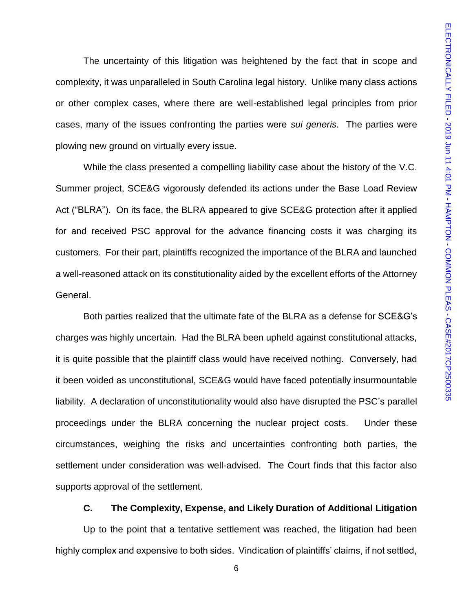The uncertainty of this litigation was heightened by the fact that in scope and complexity, it was unparalleled in South Carolina legal history. Unlike many class actions or other complex cases, where there are well-established legal principles from prior cases, many of the issues confronting the parties were *sui generis*. The parties were plowing new ground on virtually every issue.

While the class presented a compelling liability case about the history of the V.C. Summer project, SCE&G vigorously defended its actions under the Base Load Review Act ("BLRA"). On its face, the BLRA appeared to give SCE&G protection after it applied for and received PSC approval for the advance financing costs it was charging its customers. For their part, plaintiffs recognized the importance of the BLRA and launched a well-reasoned attack on its constitutionality aided by the excellent efforts of the Attorney General.

Both parties realized that the ultimate fate of the BLRA as a defense for SCE&G's charges was highly uncertain. Had the BLRA been upheld against constitutional attacks, it is quite possible that the plaintiff class would have received nothing. Conversely, had it been voided as unconstitutional, SCE&G would have faced potentially insurmountable liability. A declaration of unconstitutionality would also have disrupted the PSC's parallel proceedings under the BLRA concerning the nuclear project costs. Under these circumstances, weighing the risks and uncertainties confronting both parties, the settlement under consideration was well-advised. The Court finds that this factor also supports approval of the settlement.

### **C. The Complexity, Expense, and Likely Duration of Additional Litigation**

Up to the point that a tentative settlement was reached, the litigation had been highly complex and expensive to both sides. Vindication of plaintiffs' claims, if not settled,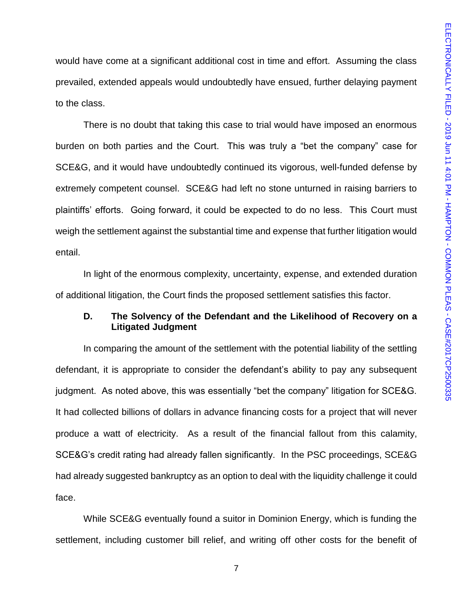would have come at a significant additional cost in time and effort. Assuming the class prevailed, extended appeals would undoubtedly have ensued, further delaying payment to the class.

There is no doubt that taking this case to trial would have imposed an enormous burden on both parties and the Court. This was truly a "bet the company" case for SCE&G, and it would have undoubtedly continued its vigorous, well-funded defense by extremely competent counsel. SCE&G had left no stone unturned in raising barriers to plaintiffs' efforts. Going forward, it could be expected to do no less. This Court must weigh the settlement against the substantial time and expense that further litigation would entail.

In light of the enormous complexity, uncertainty, expense, and extended duration of additional litigation, the Court finds the proposed settlement satisfies this factor.

# **D. The Solvency of the Defendant and the Likelihood of Recovery on a Litigated Judgment**

In comparing the amount of the settlement with the potential liability of the settling defendant, it is appropriate to consider the defendant's ability to pay any subsequent judgment. As noted above, this was essentially "bet the company" litigation for SCE&G. It had collected billions of dollars in advance financing costs for a project that will never produce a watt of electricity. As a result of the financial fallout from this calamity, SCE&G's credit rating had already fallen significantly. In the PSC proceedings, SCE&G had already suggested bankruptcy as an option to deal with the liquidity challenge it could face.

While SCE&G eventually found a suitor in Dominion Energy, which is funding the settlement, including customer bill relief, and writing off other costs for the benefit of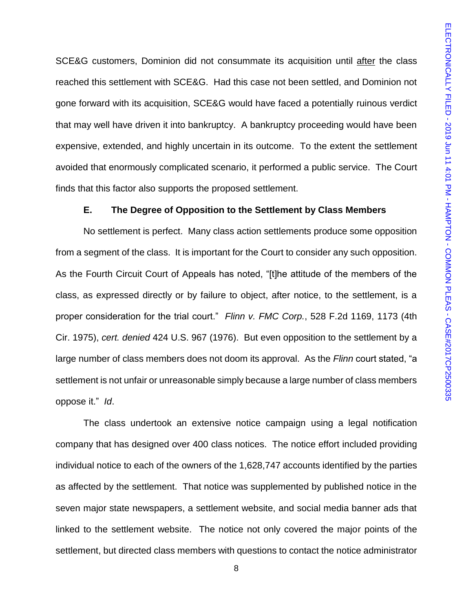SCE&G customers, Dominion did not consummate its acquisition until after the class reached this settlement with SCE&G. Had this case not been settled, and Dominion not gone forward with its acquisition, SCE&G would have faced a potentially ruinous verdict that may well have driven it into bankruptcy. A bankruptcy proceeding would have been expensive, extended, and highly uncertain in its outcome. To the extent the settlement avoided that enormously complicated scenario, it performed a public service. The Court finds that this factor also supports the proposed settlement.

### **E. The Degree of Opposition to the Settlement by Class Members**

No settlement is perfect. Many class action settlements produce some opposition from a segment of the class. It is important for the Court to consider any such opposition. As the Fourth Circuit Court of Appeals has noted, "[t]he attitude of the members of the class, as expressed directly or by failure to object, after notice, to the settlement, is a proper consideration for the trial court." *Flinn v. FMC Corp.*, 528 F.2d 1169, 1173 (4th Cir. 1975), *cert. denied* 424 U.S. 967 (1976). But even opposition to the settlement by a large number of class members does not doom its approval. As the *Flinn* court stated, "a settlement is not unfair or unreasonable simply because a large number of class members oppose it." *Id*.

The class undertook an extensive notice campaign using a legal notification company that has designed over 400 class notices. The notice effort included providing individual notice to each of the owners of the 1,628,747 accounts identified by the parties as affected by the settlement. That notice was supplemented by published notice in the seven major state newspapers, a settlement website, and social media banner ads that linked to the settlement website. The notice not only covered the major points of the settlement, but directed class members with questions to contact the notice administrator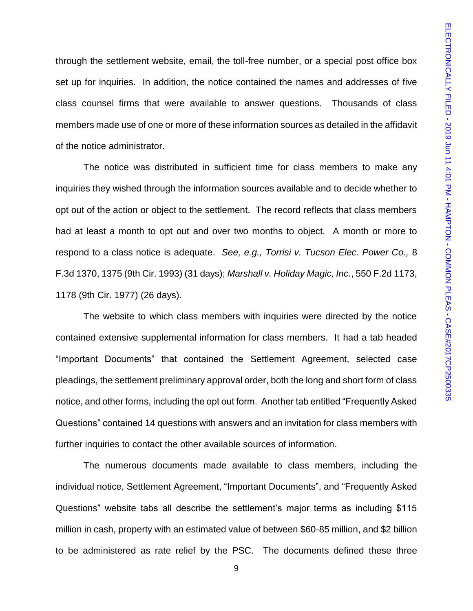through the settlement website, email, the toll-free number, or a special post office box set up for inquiries. In addition, the notice contained the names and addresses of five class counsel firms that were available to answer questions. Thousands of class members made use of one or more of these information sources as detailed in the affidavit of the notice administrator.

The notice was distributed in sufficient time for class members to make any inquiries they wished through the information sources available and to decide whether to opt out of the action or object to the settlement. The record reflects that class members had at least a month to opt out and over two months to object. A month or more to respond to a class notice is adequate. *See, e.g., Torrisi v. Tucson Elec. Power Co.,* 8 F.3d 1370, 1375 (9th Cir. 1993) (31 days); *Marshall v. Holiday Magic, Inc.*, 550 F.2d 1173, 1178 (9th Cir. 1977) (26 days).

The website to which class members with inquiries were directed by the notice contained extensive supplemental information for class members. It had a tab headed "Important Documents" that contained the Settlement Agreement, selected case pleadings, the settlement preliminary approval order, both the long and short form of class notice, and other forms, including the opt out form. Another tab entitled "Frequently Asked Questions" contained 14 questions with answers and an invitation for class members with further inquiries to contact the other available sources of information.

The numerous documents made available to class members, including the individual notice, Settlement Agreement, "Important Documents", and "Frequently Asked Questions" website tabs all describe the settlement's major terms as including \$115 million in cash, property with an estimated value of between \$60-85 million, and \$2 billion to be administered as rate relief by the PSC. The documents defined these three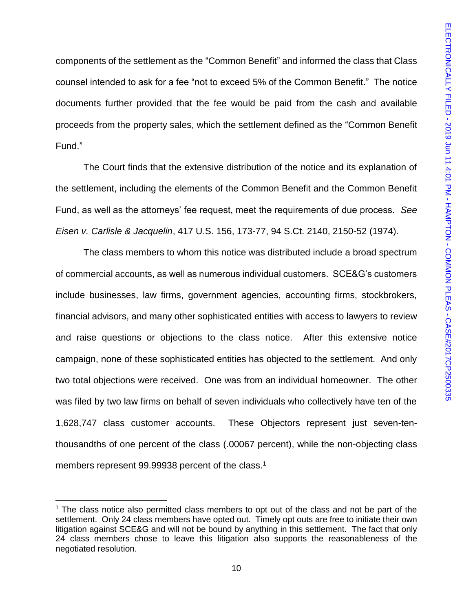components of the settlement as the "Common Benefit" and informed the class that Class counsel intended to ask for a fee "not to exceed 5% of the Common Benefit." The notice documents further provided that the fee would be paid from the cash and available proceeds from the property sales, which the settlement defined as the "Common Benefit Fund."

The Court finds that the extensive distribution of the notice and its explanation of the settlement, including the elements of the Common Benefit and the Common Benefit Fund, as well as the attorneys' fee request, meet the requirements of due process. *See Eisen v. Carlisle & Jacquelin*, 417 U.S. 156, 173-77, 94 S.Ct. 2140, 2150-52 (1974).

The class members to whom this notice was distributed include a broad spectrum of commercial accounts, as well as numerous individual customers. SCE&G's customers include businesses, law firms, government agencies, accounting firms, stockbrokers, financial advisors, and many other sophisticated entities with access to lawyers to review and raise questions or objections to the class notice. After this extensive notice campaign, none of these sophisticated entities has objected to the settlement. And only two total objections were received. One was from an individual homeowner. The other was filed by two law firms on behalf of seven individuals who collectively have ten of the 1,628,747 class customer accounts. These Objectors represent just seven-tenthousandths of one percent of the class (.00067 percent), while the non-objecting class members represent 99.99938 percent of the class.<sup>1</sup>

l

<sup>&</sup>lt;sup>1</sup> The class notice also permitted class members to opt out of the class and not be part of the settlement. Only 24 class members have opted out. Timely opt outs are free to initiate their own litigation against SCE&G and will not be bound by anything in this settlement. The fact that only 24 class members chose to leave this litigation also supports the reasonableness of the negotiated resolution.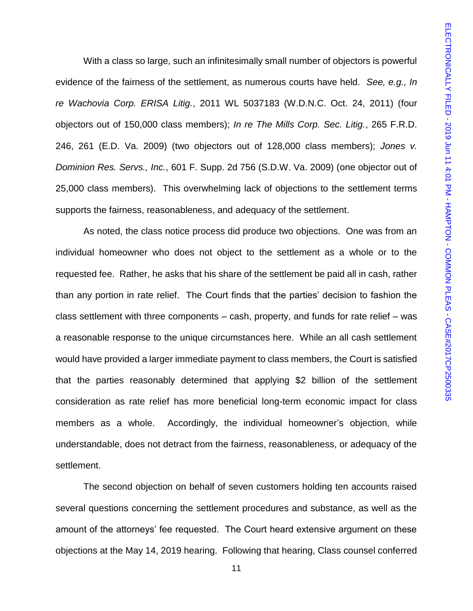With a class so large, such an infinitesimally small number of objectors is powerful evidence of the fairness of the settlement, as numerous courts have held. *See, e.g., In re Wachovia Corp. ERISA Litig.*, 2011 WL 5037183 (W.D.N.C. Oct. 24, 2011) (four objectors out of 150,000 class members); *In re The Mills Corp. Sec. Litig.*, 265 F.R.D. 246, 261 (E.D. Va. 2009) (two objectors out of 128,000 class members); *Jones v. Dominion Res. Servs., Inc.*, 601 F. Supp. 2d 756 (S.D.W. Va. 2009) (one objector out of 25,000 class members). This overwhelming lack of objections to the settlement terms supports the fairness, reasonableness, and adequacy of the settlement.

As noted, the class notice process did produce two objections. One was from an individual homeowner who does not object to the settlement as a whole or to the requested fee. Rather, he asks that his share of the settlement be paid all in cash, rather than any portion in rate relief. The Court finds that the parties' decision to fashion the class settlement with three components – cash, property, and funds for rate relief – was a reasonable response to the unique circumstances here. While an all cash settlement would have provided a larger immediate payment to class members, the Court is satisfied that the parties reasonably determined that applying \$2 billion of the settlement consideration as rate relief has more beneficial long-term economic impact for class members as a whole. Accordingly, the individual homeowner's objection, while understandable, does not detract from the fairness, reasonableness, or adequacy of the settlement.

The second objection on behalf of seven customers holding ten accounts raised several questions concerning the settlement procedures and substance, as well as the amount of the attorneys' fee requested. The Court heard extensive argument on these objections at the May 14, 2019 hearing. Following that hearing, Class counsel conferred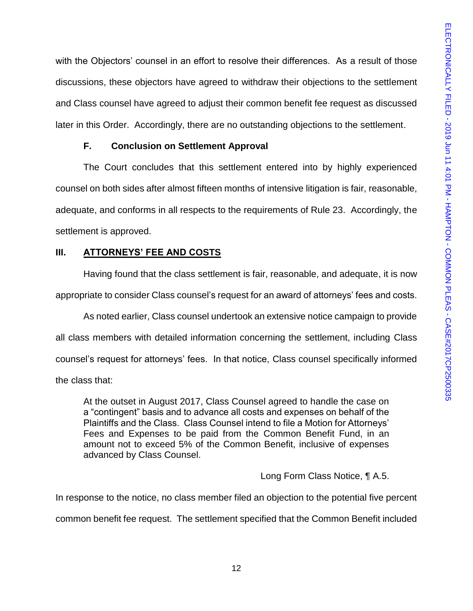with the Objectors' counsel in an effort to resolve their differences. As a result of those discussions, these objectors have agreed to withdraw their objections to the settlement and Class counsel have agreed to adjust their common benefit fee request as discussed later in this Order. Accordingly, there are no outstanding objections to the settlement.

# **F. Conclusion on Settlement Approval**

The Court concludes that this settlement entered into by highly experienced counsel on both sides after almost fifteen months of intensive litigation is fair, reasonable, adequate, and conforms in all respects to the requirements of Rule 23. Accordingly, the settlement is approved.

# **III. ATTORNEYS' FEE AND COSTS**

Having found that the class settlement is fair, reasonable, and adequate, it is now appropriate to consider Class counsel's request for an award of attorneys' fees and costs.

As noted earlier, Class counsel undertook an extensive notice campaign to provide all class members with detailed information concerning the settlement, including Class counsel's request for attorneys' fees. In that notice, Class counsel specifically informed the class that:

At the outset in August 2017, Class Counsel agreed to handle the case on a "contingent" basis and to advance all costs and expenses on behalf of the Plaintiffs and the Class. Class Counsel intend to file a Motion for Attorneys' Fees and Expenses to be paid from the Common Benefit Fund, in an amount not to exceed 5% of the Common Benefit, inclusive of expenses advanced by Class Counsel.

# Long Form Class Notice, ¶ A.5.

In response to the notice, no class member filed an objection to the potential five percent common benefit fee request. The settlement specified that the Common Benefit included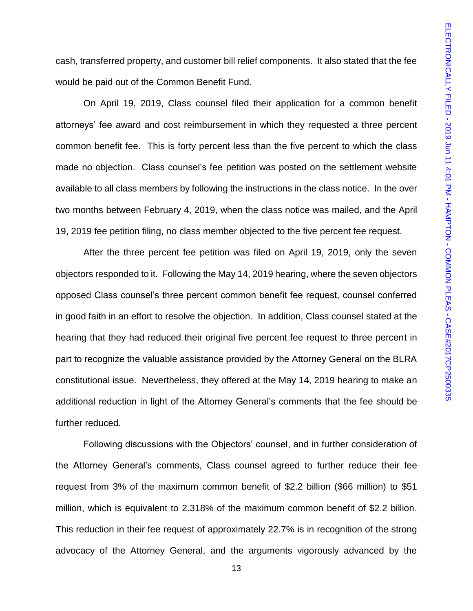cash, transferred property, and customer bill relief components. It also stated that the fee would be paid out of the Common Benefit Fund.

On April 19, 2019, Class counsel filed their application for a common benefit attorneys' fee award and cost reimbursement in which they requested a three percent common benefit fee. This is forty percent less than the five percent to which the class made no objection. Class counsel's fee petition was posted on the settlement website available to all class members by following the instructions in the class notice. In the over two months between February 4, 2019, when the class notice was mailed, and the April 19, 2019 fee petition filing, no class member objected to the five percent fee request.

After the three percent fee petition was filed on April 19, 2019, only the seven objectors responded to it. Following the May 14, 2019 hearing, where the seven objectors opposed Class counsel's three percent common benefit fee request, counsel conferred in good faith in an effort to resolve the objection. In addition, Class counsel stated at the hearing that they had reduced their original five percent fee request to three percent in part to recognize the valuable assistance provided by the Attorney General on the BLRA constitutional issue. Nevertheless, they offered at the May 14, 2019 hearing to make an additional reduction in light of the Attorney General's comments that the fee should be further reduced.

Following discussions with the Objectors' counsel, and in further consideration of the Attorney General's comments, Class counsel agreed to further reduce their fee request from 3% of the maximum common benefit of \$2.2 billion (\$66 million) to \$51 million, which is equivalent to 2.318% of the maximum common benefit of \$2.2 billion. This reduction in their fee request of approximately 22.7% is in recognition of the strong advocacy of the Attorney General, and the arguments vigorously advanced by the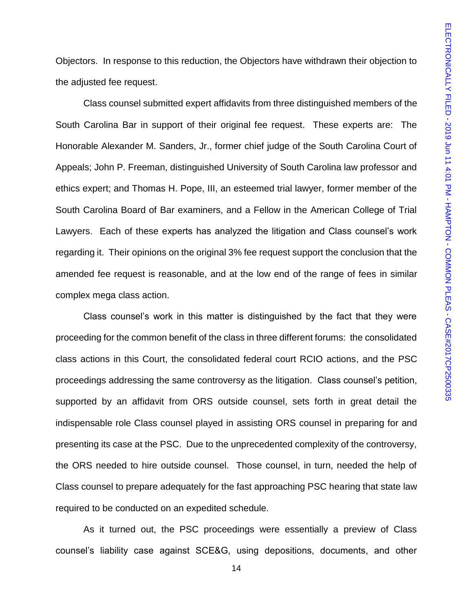Objectors. In response to this reduction, the Objectors have withdrawn their objection to the adjusted fee request.

Class counsel submitted expert affidavits from three distinguished members of the South Carolina Bar in support of their original fee request. These experts are: The Honorable Alexander M. Sanders, Jr., former chief judge of the South Carolina Court of Appeals; John P. Freeman, distinguished University of South Carolina law professor and ethics expert; and Thomas H. Pope, III, an esteemed trial lawyer, former member of the South Carolina Board of Bar examiners, and a Fellow in the American College of Trial Lawyers. Each of these experts has analyzed the litigation and Class counsel's work regarding it. Their opinions on the original 3% fee request support the conclusion that the amended fee request is reasonable, and at the low end of the range of fees in similar complex mega class action.

Class counsel's work in this matter is distinguished by the fact that they were proceeding for the common benefit of the class in three different forums: the consolidated class actions in this Court, the consolidated federal court RCIO actions, and the PSC proceedings addressing the same controversy as the litigation. Class counsel's petition, supported by an affidavit from ORS outside counsel, sets forth in great detail the indispensable role Class counsel played in assisting ORS counsel in preparing for and presenting its case at the PSC. Due to the unprecedented complexity of the controversy, the ORS needed to hire outside counsel. Those counsel, in turn, needed the help of Class counsel to prepare adequately for the fast approaching PSC hearing that state law required to be conducted on an expedited schedule.

As it turned out, the PSC proceedings were essentially a preview of Class counsel's liability case against SCE&G, using depositions, documents, and other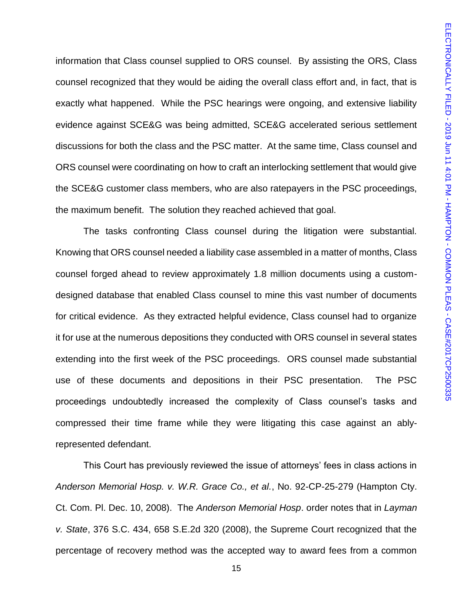information that Class counsel supplied to ORS counsel. By assisting the ORS, Class counsel recognized that they would be aiding the overall class effort and, in fact, that is exactly what happened. While the PSC hearings were ongoing, and extensive liability evidence against SCE&G was being admitted, SCE&G accelerated serious settlement discussions for both the class and the PSC matter. At the same time, Class counsel and ORS counsel were coordinating on how to craft an interlocking settlement that would give the SCE&G customer class members, who are also ratepayers in the PSC proceedings, the maximum benefit. The solution they reached achieved that goal.

The tasks confronting Class counsel during the litigation were substantial. Knowing that ORS counsel needed a liability case assembled in a matter of months, Class counsel forged ahead to review approximately 1.8 million documents using a customdesigned database that enabled Class counsel to mine this vast number of documents for critical evidence. As they extracted helpful evidence, Class counsel had to organize it for use at the numerous depositions they conducted with ORS counsel in several states extending into the first week of the PSC proceedings. ORS counsel made substantial use of these documents and depositions in their PSC presentation. The PSC proceedings undoubtedly increased the complexity of Class counsel's tasks and compressed their time frame while they were litigating this case against an ablyrepresented defendant.

This Court has previously reviewed the issue of attorneys' fees in class actions in *Anderson Memorial Hosp. v. W.R. Grace Co., et al.*, No. 92-CP-25-279 (Hampton Cty. Ct. Com. Pl. Dec. 10, 2008). The *Anderson Memorial Hosp*. order notes that in *Layman v. State*, 376 S.C. 434, 658 S.E.2d 320 (2008), the Supreme Court recognized that the percentage of recovery method was the accepted way to award fees from a common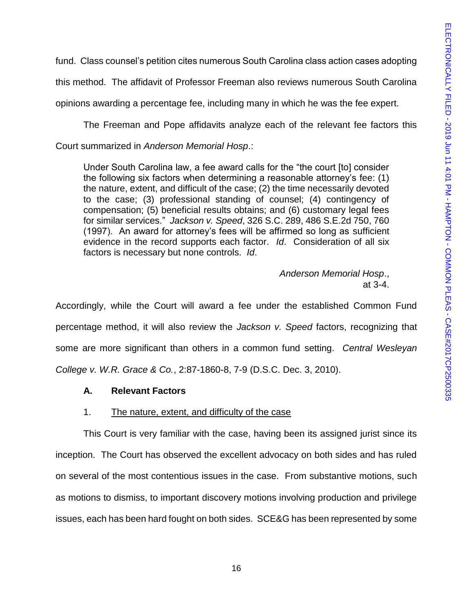fund. Class counsel's petition cites numerous South Carolina class action cases adopting

this method. The affidavit of Professor Freeman also reviews numerous South Carolina

opinions awarding a percentage fee, including many in which he was the fee expert.

The Freeman and Pope affidavits analyze each of the relevant fee factors this

Court summarized in *Anderson Memorial Hosp*.:

Under South Carolina law, a fee award calls for the "the court [to] consider the following six factors when determining a reasonable attorney's fee: (1) the nature, extent, and difficult of the case; (2) the time necessarily devoted to the case; (3) professional standing of counsel; (4) contingency of compensation; (5) beneficial results obtains; and (6) customary legal fees for similar services." *Jackson v. Speed*, 326 S.C. 289, 486 S.E.2d 750, 760 (1997). An award for attorney's fees will be affirmed so long as sufficient evidence in the record supports each factor. *Id*. Consideration of all six factors is necessary but none controls. *Id*.

> *Anderson Memorial Hosp*., at 3-4.

Accordingly, while the Court will award a fee under the established Common Fund percentage method, it will also review the *Jackson v. Speed* factors, recognizing that some are more significant than others in a common fund setting. *Central Wesleyan College v. W.R. Grace & Co.*, 2:87-1860-8, 7-9 (D.S.C. Dec. 3, 2010).

# **A. Relevant Factors**

### 1. The nature, extent, and difficulty of the case

This Court is very familiar with the case, having been its assigned jurist since its inception. The Court has observed the excellent advocacy on both sides and has ruled on several of the most contentious issues in the case. From substantive motions, such as motions to dismiss, to important discovery motions involving production and privilege issues, each has been hard fought on both sides. SCE&G has been represented by some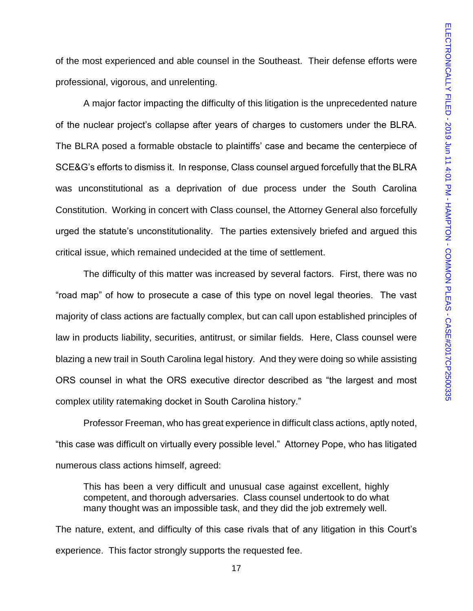of the most experienced and able counsel in the Southeast. Their defense efforts were professional, vigorous, and unrelenting.

A major factor impacting the difficulty of this litigation is the unprecedented nature of the nuclear project's collapse after years of charges to customers under the BLRA. The BLRA posed a formable obstacle to plaintiffs' case and became the centerpiece of SCE&G's efforts to dismiss it. In response, Class counsel argued forcefully that the BLRA was unconstitutional as a deprivation of due process under the South Carolina Constitution. Working in concert with Class counsel, the Attorney General also forcefully urged the statute's unconstitutionality. The parties extensively briefed and argued this critical issue, which remained undecided at the time of settlement.

The difficulty of this matter was increased by several factors. First, there was no "road map" of how to prosecute a case of this type on novel legal theories. The vast majority of class actions are factually complex, but can call upon established principles of law in products liability, securities, antitrust, or similar fields. Here, Class counsel were blazing a new trail in South Carolina legal history. And they were doing so while assisting ORS counsel in what the ORS executive director described as "the largest and most complex utility ratemaking docket in South Carolina history."

Professor Freeman, who has great experience in difficult class actions, aptly noted, "this case was difficult on virtually every possible level." Attorney Pope, who has litigated numerous class actions himself, agreed:

This has been a very difficult and unusual case against excellent, highly competent, and thorough adversaries. Class counsel undertook to do what many thought was an impossible task, and they did the job extremely well.

The nature, extent, and difficulty of this case rivals that of any litigation in this Court's experience. This factor strongly supports the requested fee.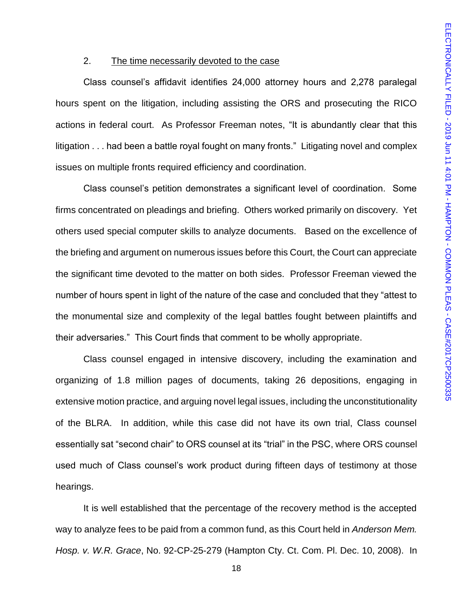# 2. The time necessarily devoted to the case

Class counsel's affidavit identifies 24,000 attorney hours and 2,278 paralegal hours spent on the litigation, including assisting the ORS and prosecuting the RICO actions in federal court. As Professor Freeman notes, "It is abundantly clear that this litigation . . . had been a battle royal fought on many fronts." Litigating novel and complex issues on multiple fronts required efficiency and coordination.

Class counsel's petition demonstrates a significant level of coordination. Some firms concentrated on pleadings and briefing. Others worked primarily on discovery. Yet others used special computer skills to analyze documents. Based on the excellence of the briefing and argument on numerous issues before this Court, the Court can appreciate the significant time devoted to the matter on both sides. Professor Freeman viewed the number of hours spent in light of the nature of the case and concluded that they "attest to the monumental size and complexity of the legal battles fought between plaintiffs and their adversaries." This Court finds that comment to be wholly appropriate.

Class counsel engaged in intensive discovery, including the examination and organizing of 1.8 million pages of documents, taking 26 depositions, engaging in extensive motion practice, and arguing novel legal issues, including the unconstitutionality of the BLRA. In addition, while this case did not have its own trial, Class counsel essentially sat "second chair" to ORS counsel at its "trial" in the PSC, where ORS counsel used much of Class counsel's work product during fifteen days of testimony at those hearings.

It is well established that the percentage of the recovery method is the accepted way to analyze fees to be paid from a common fund, as this Court held in *Anderson Mem. Hosp. v. W.R. Grace*, No. 92-CP-25-279 (Hampton Cty. Ct. Com. Pl. Dec. 10, 2008). In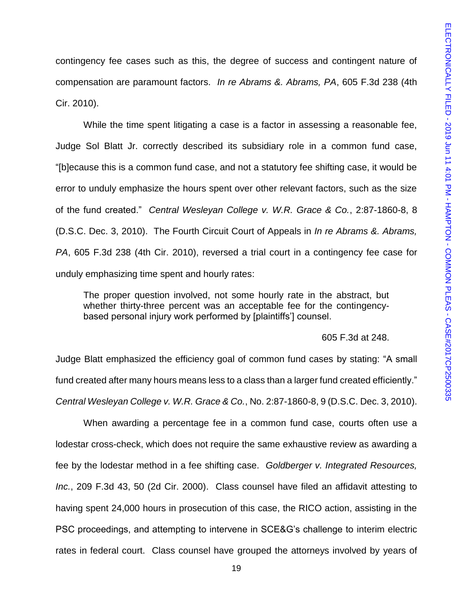contingency fee cases such as this, the degree of success and contingent nature of compensation are paramount factors. *In re Abrams &. Abrams, PA*, 605 F.3d 238 (4th Cir. 2010).

While the time spent litigating a case is a factor in assessing a reasonable fee, Judge Sol Blatt Jr. correctly described its subsidiary role in a common fund case, "[b]ecause this is a common fund case, and not a statutory fee shifting case, it would be error to unduly emphasize the hours spent over other relevant factors, such as the size of the fund created." *Central Wesleyan College v. W.R. Grace & Co.*, 2:87-1860-8, 8 (D.S.C. Dec. 3, 2010). The Fourth Circuit Court of Appeals in *In re Abrams &. Abrams, PA*, 605 F.3d 238 (4th Cir. 2010), reversed a trial court in a contingency fee case for unduly emphasizing time spent and hourly rates:

The proper question involved, not some hourly rate in the abstract, but whether thirty-three percent was an acceptable fee for the contingencybased personal injury work performed by [plaintiffs'] counsel.

#### 605 F.3d at 248.

Judge Blatt emphasized the efficiency goal of common fund cases by stating: "A small fund created after many hours means less to a class than a larger fund created efficiently." *Central Wesleyan College v. W.R. Grace & Co.*, No. 2:87-1860-8, 9 (D.S.C. Dec. 3, 2010).

When awarding a percentage fee in a common fund case, courts often use a lodestar cross-check, which does not require the same exhaustive review as awarding a fee by the lodestar method in a fee shifting case. *Goldberger v. Integrated Resources, Inc.*, 209 F.3d 43, 50 (2d Cir. 2000). Class counsel have filed an affidavit attesting to having spent 24,000 hours in prosecution of this case, the RICO action, assisting in the PSC proceedings, and attempting to intervene in SCE&G's challenge to interim electric rates in federal court. Class counsel have grouped the attorneys involved by years of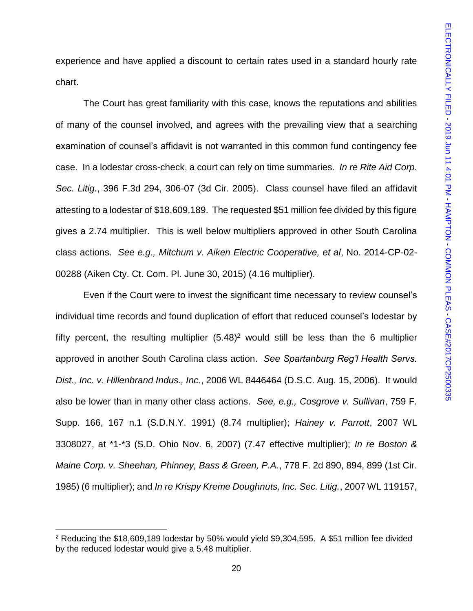experience and have applied a discount to certain rates used in a standard hourly rate chart.

The Court has great familiarity with this case, knows the reputations and abilities of many of the counsel involved, and agrees with the prevailing view that a searching examination of counsel's affidavit is not warranted in this common fund contingency fee case. In a lodestar cross-check, a court can rely on time summaries. *In re Rite Aid Corp. Sec. Litig.*, 396 F.3d 294, 306-07 (3d Cir. 2005). Class counsel have filed an affidavit attesting to a lodestar of \$18,609.189. The requested \$51 million fee divided by this figure gives a 2.74 multiplier. This is well below multipliers approved in other South Carolina class actions. *See e.g., Mitchum v. Aiken Electric Cooperative, et al*, No. 2014-CP-02- 00288 (Aiken Cty. Ct. Com. Pl. June 30, 2015) (4.16 multiplier).

Even if the Court were to invest the significant time necessary to review counsel's individual time records and found duplication of effort that reduced counsel's lodestar by fifty percent, the resulting multiplier (5.48) <sup>2</sup> would still be less than the 6 multiplier approved in another South Carolina class action. *See Spartanburg Reg'l Health Servs. Dist., Inc. v. Hillenbrand Indus., Inc.*, 2006 WL 8446464 (D.S.C. Aug. 15, 2006). It would also be lower than in many other class actions. *See, e.g., Cosgrove v. Sullivan*, 759 F. Supp. 166, 167 n.1 (S.D.N.Y. 1991) (8.74 multiplier); *Hainey v. Parrott*, 2007 WL 3308027, at \*1-\*3 (S.D. Ohio Nov. 6, 2007) (7.47 effective multiplier); *In re Boston & Maine Corp. v. Sheehan, Phinney, Bass & Green, P.A.*, 778 F. 2d 890, 894, 899 (1st Cir. 1985) (6 multiplier); and *In re Krispy Kreme Doughnuts, Inc. Sec. Litig.*, 2007 WL 119157,

 $\overline{\phantom{a}}$ 

<sup>&</sup>lt;sup>2</sup> Reducing the \$18,609,189 lodestar by 50% would yield \$9,304,595. A \$51 million fee divided by the reduced lodestar would give a 5.48 multiplier.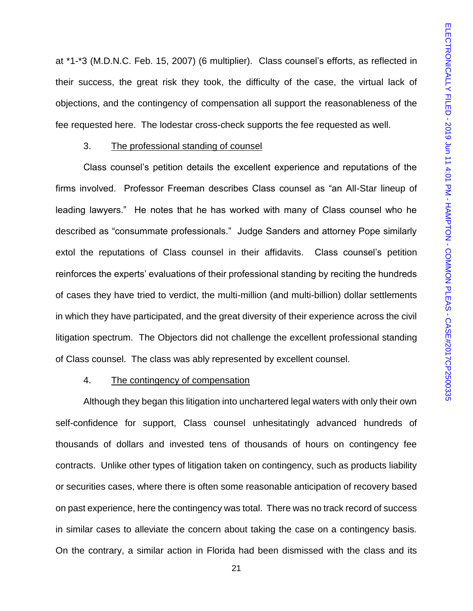at \*1-\*3 (M.D.N.C. Feb. 15, 2007) (6 multiplier). Class counsel's efforts, as reflected in their success, the great risk they took, the difficulty of the case, the virtual lack of objections, and the contingency of compensation all support the reasonableness of the fee requested here. The lodestar cross-check supports the fee requested as well.

# 3. The professional standing of counsel

Class counsel's petition details the excellent experience and reputations of the firms involved. Professor Freeman describes Class counsel as "an All-Star lineup of leading lawyers." He notes that he has worked with many of Class counsel who he described as "consummate professionals." Judge Sanders and attorney Pope similarly extol the reputations of Class counsel in their affidavits. Class counsel's petition reinforces the experts' evaluations of their professional standing by reciting the hundreds of cases they have tried to verdict, the multi-million (and multi-billion) dollar settlements in which they have participated, and the great diversity of their experience across the civil litigation spectrum. The Objectors did not challenge the excellent professional standing of Class counsel. The class was ably represented by excellent counsel.

### 4. The contingency of compensation

Although they began this litigation into unchartered legal waters with only their own self-confidence for support, Class counsel unhesitatingly advanced hundreds of thousands of dollars and invested tens of thousands of hours on contingency fee contracts. Unlike other types of litigation taken on contingency, such as products liability or securities cases, where there is often some reasonable anticipation of recovery based on past experience, here the contingency was total. There was no track record of success in similar cases to alleviate the concern about taking the case on a contingency basis. On the contrary, a similar action in Florida had been dismissed with the class and its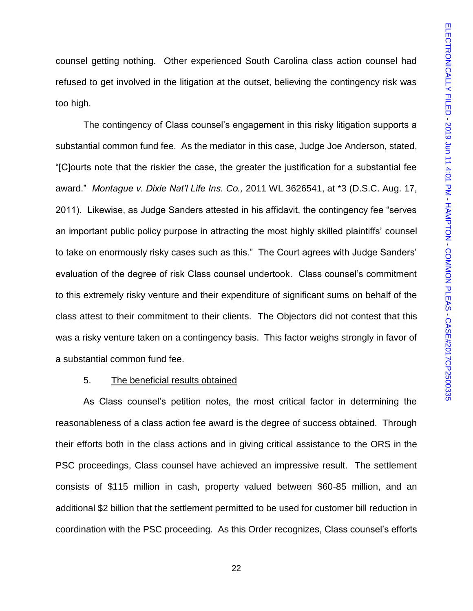counsel getting nothing. Other experienced South Carolina class action counsel had refused to get involved in the litigation at the outset, believing the contingency risk was too high.

The contingency of Class counsel's engagement in this risky litigation supports a substantial common fund fee. As the mediator in this case, Judge Joe Anderson, stated, "[C]ourts note that the riskier the case, the greater the justification for a substantial fee award." *Montague v. Dixie Nat'l Life Ins. Co.,* 2011 WL 3626541, at \*3 (D.S.C. Aug. 17, 2011). Likewise, as Judge Sanders attested in his affidavit, the contingency fee "serves an important public policy purpose in attracting the most highly skilled plaintiffs' counsel to take on enormously risky cases such as this." The Court agrees with Judge Sanders' evaluation of the degree of risk Class counsel undertook. Class counsel's commitment to this extremely risky venture and their expenditure of significant sums on behalf of the class attest to their commitment to their clients. The Objectors did not contest that this was a risky venture taken on a contingency basis. This factor weighs strongly in favor of a substantial common fund fee.

#### 5. The beneficial results obtained

As Class counsel's petition notes, the most critical factor in determining the reasonableness of a class action fee award is the degree of success obtained. Through their efforts both in the class actions and in giving critical assistance to the ORS in the PSC proceedings, Class counsel have achieved an impressive result. The settlement consists of \$115 million in cash, property valued between \$60-85 million, and an additional \$2 billion that the settlement permitted to be used for customer bill reduction in coordination with the PSC proceeding. As this Order recognizes, Class counsel's efforts

22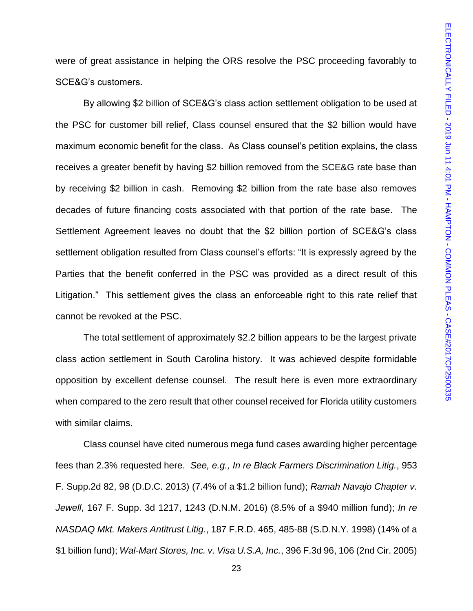were of great assistance in helping the ORS resolve the PSC proceeding favorably to SCE&G's customers.

By allowing \$2 billion of SCE&G's class action settlement obligation to be used at the PSC for customer bill relief, Class counsel ensured that the \$2 billion would have maximum economic benefit for the class. As Class counsel's petition explains, the class receives a greater benefit by having \$2 billion removed from the SCE&G rate base than by receiving \$2 billion in cash. Removing \$2 billion from the rate base also removes decades of future financing costs associated with that portion of the rate base. The Settlement Agreement leaves no doubt that the \$2 billion portion of SCE&G's class settlement obligation resulted from Class counsel's efforts: "It is expressly agreed by the Parties that the benefit conferred in the PSC was provided as a direct result of this Litigation." This settlement gives the class an enforceable right to this rate relief that cannot be revoked at the PSC.

The total settlement of approximately \$2.2 billion appears to be the largest private class action settlement in South Carolina history. It was achieved despite formidable opposition by excellent defense counsel. The result here is even more extraordinary when compared to the zero result that other counsel received for Florida utility customers with similar claims.

Class counsel have cited numerous mega fund cases awarding higher percentage fees than 2.3% requested here. *See, e.g., In re Black Farmers Discrimination Litig.*, 953 F. Supp.2d 82, 98 (D.D.C. 2013) (7.4% of a \$1.2 billion fund); *Ramah Navajo Chapter v. Jewell*, 167 F. Supp. 3d 1217, 1243 (D.N.M. 2016) (8.5% of a \$940 million fund); *In re NASDAQ Mkt. Makers Antitrust Litig.*, 187 F.R.D. 465, 485-88 (S.D.N.Y. 1998) (14% of a \$1 billion fund); *Wal-Mart Stores, Inc. v. Visa U.S.A, Inc.*, 396 F.3d 96, 106 (2nd Cir. 2005)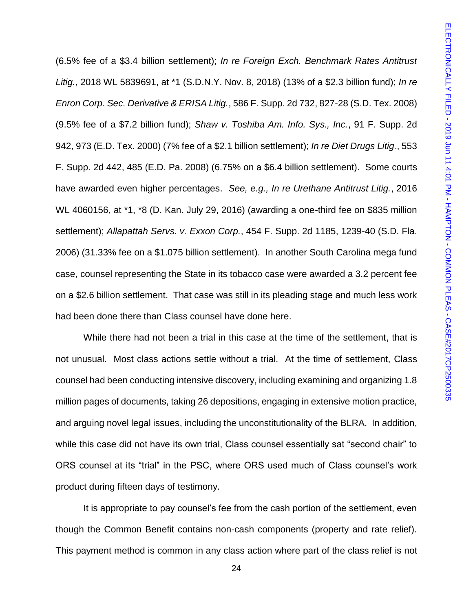(6.5% fee of a \$3.4 billion settlement); *In re Foreign Exch. Benchmark Rates Antitrust Litig.*, 2018 WL 5839691, at \*1 (S.D.N.Y. Nov. 8, 2018) (13% of a \$2.3 billion fund); *In re Enron Corp. Sec. Derivative & ERISA Litig.*, 586 F. Supp. 2d 732, 827-28 (S.D. Tex. 2008) (9.5% fee of a \$7.2 billion fund); *Shaw v. Toshiba Am. Info. Sys., Inc.*, 91 F. Supp. 2d 942, 973 (E.D. Tex. 2000) (7% fee of a \$2.1 billion settlement); *In re Diet Drugs Litig.*, 553 F. Supp. 2d 442, 485 (E.D. Pa. 2008) (6.75% on a \$6.4 billion settlement). Some courts have awarded even higher percentages. *See, e.g., In re Urethane Antitrust Litig.*, 2016 WL 4060156, at \*1, \*8 (D. Kan. July 29, 2016) (awarding a one-third fee on \$835 million settlement); *Allapattah Servs. v. Exxon Corp.*, 454 F. Supp. 2d 1185, 1239-40 (S.D. Fla. 2006) (31.33% fee on a \$1.075 billion settlement). In another South Carolina mega fund case, counsel representing the State in its tobacco case were awarded a 3.2 percent fee on a \$2.6 billion settlement. That case was still in its pleading stage and much less work had been done there than Class counsel have done here.

While there had not been a trial in this case at the time of the settlement, that is not unusual. Most class actions settle without a trial. At the time of settlement, Class counsel had been conducting intensive discovery, including examining and organizing 1.8 million pages of documents, taking 26 depositions, engaging in extensive motion practice, and arguing novel legal issues, including the unconstitutionality of the BLRA. In addition, while this case did not have its own trial, Class counsel essentially sat "second chair" to ORS counsel at its "trial" in the PSC, where ORS used much of Class counsel's work product during fifteen days of testimony.

It is appropriate to pay counsel's fee from the cash portion of the settlement, even though the Common Benefit contains non-cash components (property and rate relief). This payment method is common in any class action where part of the class relief is not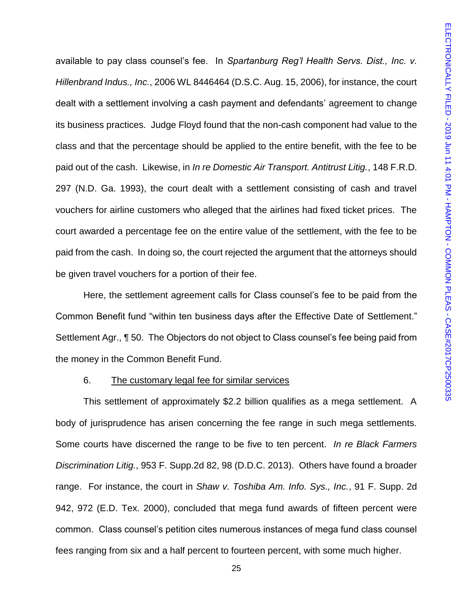available to pay class counsel's fee. In *Spartanburg Reg'l Health Servs. Dist., Inc. v. Hillenbrand Indus., Inc.*, 2006 WL 8446464 (D.S.C. Aug. 15, 2006), for instance, the court dealt with a settlement involving a cash payment and defendants' agreement to change its business practices. Judge Floyd found that the non-cash component had value to the class and that the percentage should be applied to the entire benefit, with the fee to be paid out of the cash. Likewise, in *In re Domestic Air Transport. Antitrust Litig.*, 148 F.R.D. 297 (N.D. Ga. 1993), the court dealt with a settlement consisting of cash and travel vouchers for airline customers who alleged that the airlines had fixed ticket prices. The court awarded a percentage fee on the entire value of the settlement, with the fee to be paid from the cash. In doing so, the court rejected the argument that the attorneys should be given travel vouchers for a portion of their fee.

Here, the settlement agreement calls for Class counsel's fee to be paid from the Common Benefit fund "within ten business days after the Effective Date of Settlement." Settlement Agr., ¶ 50. The Objectors do not object to Class counsel's fee being paid from the money in the Common Benefit Fund.

#### 6. The customary legal fee for similar services

This settlement of approximately \$2.2 billion qualifies as a mega settlement. A body of jurisprudence has arisen concerning the fee range in such mega settlements. Some courts have discerned the range to be five to ten percent. *In re Black Farmers Discrimination Litig.*, 953 F. Supp.2d 82, 98 (D.D.C. 2013). Others have found a broader range. For instance, the court in *Shaw v. Toshiba Am. Info. Sys., Inc.*, 91 F. Supp. 2d 942, 972 (E.D. Tex. 2000), concluded that mega fund awards of fifteen percent were common. Class counsel's petition cites numerous instances of mega fund class counsel fees ranging from six and a half percent to fourteen percent, with some much higher.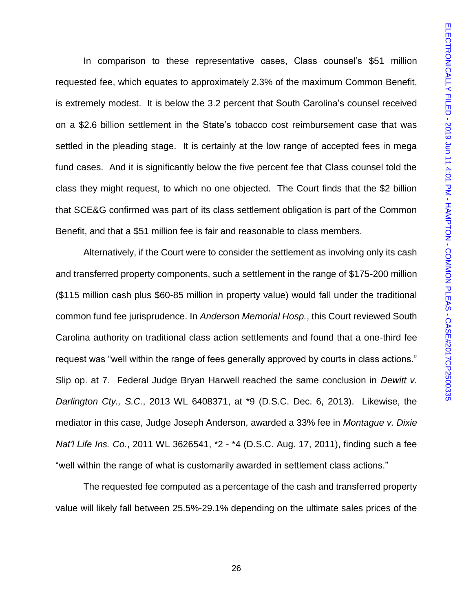In comparison to these representative cases, Class counsel's \$51 million requested fee, which equates to approximately 2.3% of the maximum Common Benefit, is extremely modest. It is below the 3.2 percent that South Carolina's counsel received on a \$2.6 billion settlement in the State's tobacco cost reimbursement case that was settled in the pleading stage. It is certainly at the low range of accepted fees in mega fund cases. And it is significantly below the five percent fee that Class counsel told the class they might request, to which no one objected. The Court finds that the \$2 billion that SCE&G confirmed was part of its class settlement obligation is part of the Common Benefit, and that a \$51 million fee is fair and reasonable to class members.

Alternatively, if the Court were to consider the settlement as involving only its cash and transferred property components, such a settlement in the range of \$175-200 million (\$115 million cash plus \$60-85 million in property value) would fall under the traditional common fund fee jurisprudence. In *Anderson Memorial Hosp.*, this Court reviewed South Carolina authority on traditional class action settlements and found that a one-third fee request was "well within the range of fees generally approved by courts in class actions." Slip op. at 7. Federal Judge Bryan Harwell reached the same conclusion in *Dewitt v. Darlington Cty., S.C.*, 2013 WL 6408371, at \*9 (D.S.C. Dec. 6, 2013). Likewise, the mediator in this case, Judge Joseph Anderson, awarded a 33% fee in *Montague v. Dixie Nat'l Life Ins. Co.*, 2011 WL 3626541, \*2 - \*4 (D.S.C. Aug. 17, 2011), finding such a fee "well within the range of what is customarily awarded in settlement class actions."

The requested fee computed as a percentage of the cash and transferred property value will likely fall between 25.5%-29.1% depending on the ultimate sales prices of the

26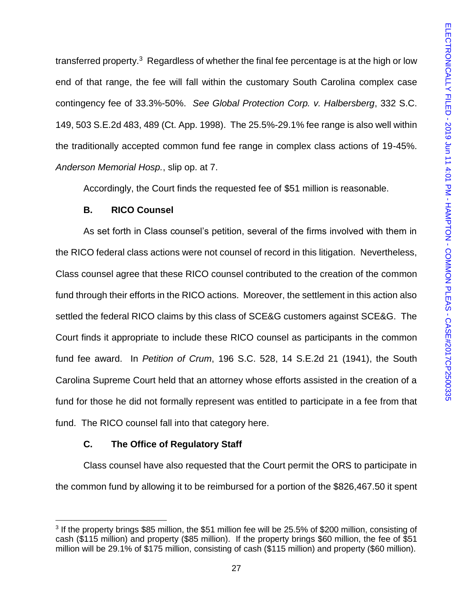transferred property.<sup>3</sup> Regardless of whether the final fee percentage is at the high or low end of that range, the fee will fall within the customary South Carolina complex case contingency fee of 33.3%-50%. *See Global Protection Corp. v. Halbersberg*, 332 S.C. 149, 503 S.E.2d 483, 489 (Ct. App. 1998). The 25.5%-29.1% fee range is also well within the traditionally accepted common fund fee range in complex class actions of 19-45%. *Anderson Memorial Hosp.*, slip op. at 7.

Accordingly, the Court finds the requested fee of \$51 million is reasonable.

# **B. RICO Counsel**

As set forth in Class counsel's petition, several of the firms involved with them in the RICO federal class actions were not counsel of record in this litigation. Nevertheless, Class counsel agree that these RICO counsel contributed to the creation of the common fund through their efforts in the RICO actions. Moreover, the settlement in this action also settled the federal RICO claims by this class of SCE&G customers against SCE&G. The Court finds it appropriate to include these RICO counsel as participants in the common fund fee award. In *Petition of Crum*, 196 S.C. 528, 14 S.E.2d 21 (1941), the South Carolina Supreme Court held that an attorney whose efforts assisted in the creation of a fund for those he did not formally represent was entitled to participate in a fee from that fund. The RICO counsel fall into that category here.

# **C. The Office of Regulatory Staff**

Class counsel have also requested that the Court permit the ORS to participate in the common fund by allowing it to be reimbursed for a portion of the \$826,467.50 it spent

 $\overline{a}$ <sup>3</sup> If the property brings \$85 million, the \$51 million fee will be 25.5% of \$200 million, consisting of cash (\$115 million) and property (\$85 million). If the property brings \$60 million, the fee of \$51 million will be 29.1% of \$175 million, consisting of cash (\$115 million) and property (\$60 million).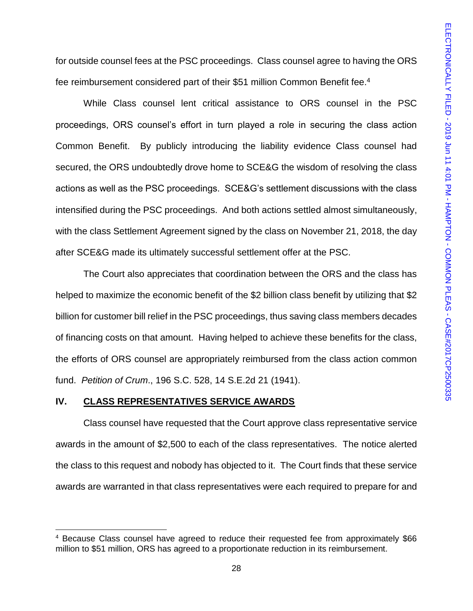for outside counsel fees at the PSC proceedings. Class counsel agree to having the ORS fee reimbursement considered part of their \$51 million Common Benefit fee.<sup>4</sup>

While Class counsel lent critical assistance to ORS counsel in the PSC proceedings, ORS counsel's effort in turn played a role in securing the class action Common Benefit. By publicly introducing the liability evidence Class counsel had secured, the ORS undoubtedly drove home to SCE&G the wisdom of resolving the class actions as well as the PSC proceedings. SCE&G's settlement discussions with the class intensified during the PSC proceedings. And both actions settled almost simultaneously, with the class Settlement Agreement signed by the class on November 21, 2018, the day after SCE&G made its ultimately successful settlement offer at the PSC.

The Court also appreciates that coordination between the ORS and the class has helped to maximize the economic benefit of the \$2 billion class benefit by utilizing that \$2 billion for customer bill relief in the PSC proceedings, thus saving class members decades of financing costs on that amount. Having helped to achieve these benefits for the class, the efforts of ORS counsel are appropriately reimbursed from the class action common fund. *Petition of Crum*., 196 S.C. 528, 14 S.E.2d 21 (1941).

#### **IV. CLASS REPRESENTATIVES SERVICE AWARDS**

 $\overline{\phantom{a}}$ 

Class counsel have requested that the Court approve class representative service awards in the amount of \$2,500 to each of the class representatives. The notice alerted the class to this request and nobody has objected to it. The Court finds that these service awards are warranted in that class representatives were each required to prepare for and

<sup>&</sup>lt;sup>4</sup> Because Class counsel have agreed to reduce their requested fee from approximately \$66 million to \$51 million, ORS has agreed to a proportionate reduction in its reimbursement.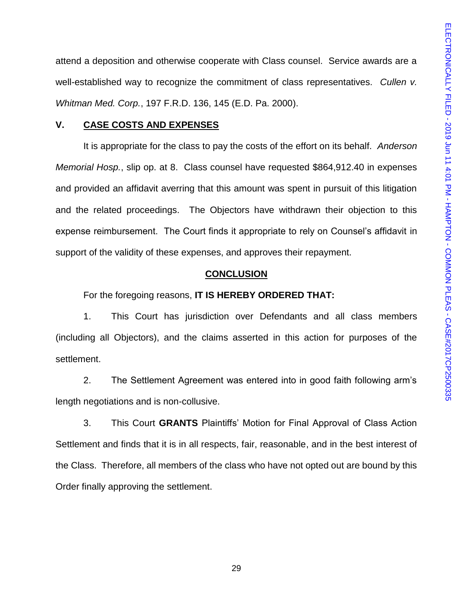attend a deposition and otherwise cooperate with Class counsel. Service awards are a well-established way to recognize the commitment of class representatives. *Cullen v. Whitman Med. Corp.*, 197 F.R.D. 136, 145 (E.D. Pa. 2000).

### **V. CASE COSTS AND EXPENSES**

It is appropriate for the class to pay the costs of the effort on its behalf. *Anderson Memorial Hosp.*, slip op. at 8. Class counsel have requested \$864,912.40 in expenses and provided an affidavit averring that this amount was spent in pursuit of this litigation and the related proceedings. The Objectors have withdrawn their objection to this expense reimbursement. The Court finds it appropriate to rely on Counsel's affidavit in support of the validity of these expenses, and approves their repayment.

#### **CONCLUSION**

For the foregoing reasons, **IT IS HEREBY ORDERED THAT:**

1. This Court has jurisdiction over Defendants and all class members (including all Objectors), and the claims asserted in this action for purposes of the settlement.

2. The Settlement Agreement was entered into in good faith following arm's length negotiations and is non-collusive.

3. This Court **GRANTS** Plaintiffs' Motion for Final Approval of Class Action Settlement and finds that it is in all respects, fair, reasonable, and in the best interest of the Class. Therefore, all members of the class who have not opted out are bound by this Order finally approving the settlement.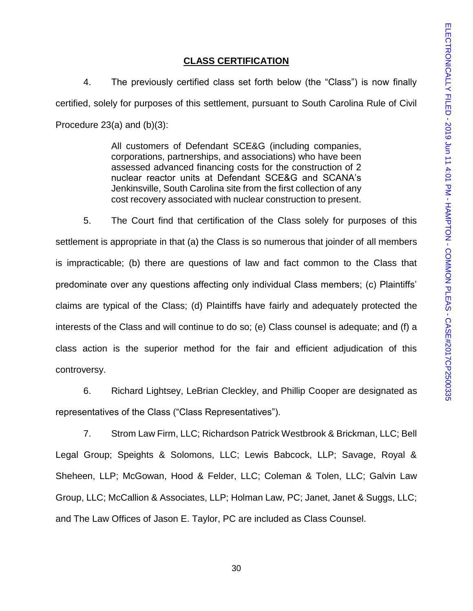### **CLASS CERTIFICATION**

4. The previously certified class set forth below (the "Class") is now finally certified, solely for purposes of this settlement, pursuant to South Carolina Rule of Civil Procedure 23(a) and (b)(3):

> All customers of Defendant SCE&G (including companies, corporations, partnerships, and associations) who have been assessed advanced financing costs for the construction of 2 nuclear reactor units at Defendant SCE&G and SCANA's Jenkinsville, South Carolina site from the first collection of any cost recovery associated with nuclear construction to present.

5. The Court find that certification of the Class solely for purposes of this settlement is appropriate in that (a) the Class is so numerous that joinder of all members is impracticable; (b) there are questions of law and fact common to the Class that predominate over any questions affecting only individual Class members; (c) Plaintiffs' claims are typical of the Class; (d) Plaintiffs have fairly and adequately protected the interests of the Class and will continue to do so; (e) Class counsel is adequate; and (f) a class action is the superior method for the fair and efficient adjudication of this controversy.

6. Richard Lightsey, LeBrian Cleckley, and Phillip Cooper are designated as representatives of the Class ("Class Representatives").

7. Strom Law Firm, LLC; Richardson Patrick Westbrook & Brickman, LLC; Bell Legal Group; Speights & Solomons, LLC; Lewis Babcock, LLP; Savage, Royal & Sheheen, LLP; McGowan, Hood & Felder, LLC; Coleman & Tolen, LLC; Galvin Law Group, LLC; McCallion & Associates, LLP; Holman Law, PC; Janet, Janet & Suggs, LLC; and The Law Offices of Jason E. Taylor, PC are included as Class Counsel.

30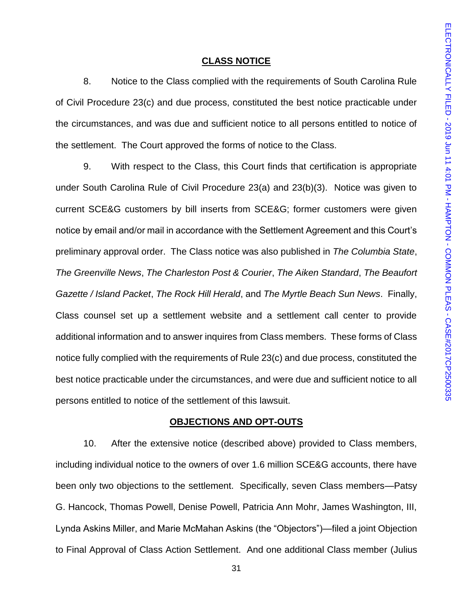#### **CLASS NOTICE**

8. Notice to the Class complied with the requirements of South Carolina Rule of Civil Procedure 23(c) and due process, constituted the best notice practicable under the circumstances, and was due and sufficient notice to all persons entitled to notice of the settlement. The Court approved the forms of notice to the Class.

9. With respect to the Class, this Court finds that certification is appropriate under South Carolina Rule of Civil Procedure 23(a) and 23(b)(3). Notice was given to current SCE&G customers by bill inserts from SCE&G; former customers were given notice by email and/or mail in accordance with the Settlement Agreement and this Court's preliminary approval order. The Class notice was also published in *The Columbia State*, *The Greenville News*, *The Charleston Post & Courier*, *The Aiken Standard*, *The Beaufort Gazette / Island Packet*, *The Rock Hill Herald*, and *The Myrtle Beach Sun News*. Finally, Class counsel set up a settlement website and a settlement call center to provide additional information and to answer inquires from Class members. These forms of Class notice fully complied with the requirements of Rule 23(c) and due process, constituted the best notice practicable under the circumstances, and were due and sufficient notice to all persons entitled to notice of the settlement of this lawsuit.

### **OBJECTIONS AND OPT-OUTS**

10. After the extensive notice (described above) provided to Class members, including individual notice to the owners of over 1.6 million SCE&G accounts, there have been only two objections to the settlement. Specifically, seven Class members—Patsy G. Hancock, Thomas Powell, Denise Powell, Patricia Ann Mohr, James Washington, III, Lynda Askins Miller, and Marie McMahan Askins (the "Objectors")—filed a joint Objection to Final Approval of Class Action Settlement. And one additional Class member (Julius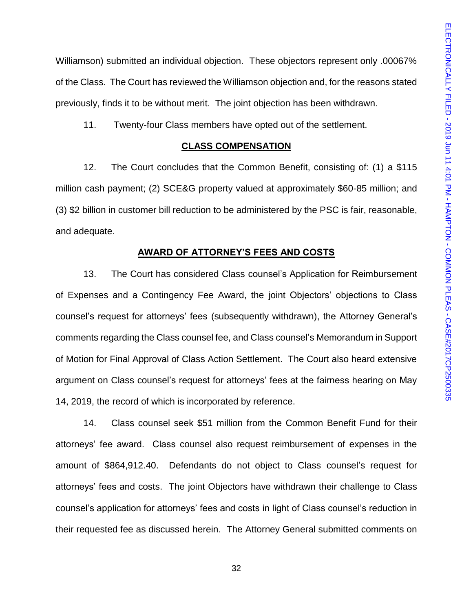Williamson) submitted an individual objection. These objectors represent only .00067% of the Class. The Court has reviewed the Williamson objection and, for the reasons stated previously, finds it to be without merit. The joint objection has been withdrawn.

11. Twenty-four Class members have opted out of the settlement.

### **CLASS COMPENSATION**

12. The Court concludes that the Common Benefit, consisting of: (1) a \$115 million cash payment; (2) SCE&G property valued at approximately \$60-85 million; and (3) \$2 billion in customer bill reduction to be administered by the PSC is fair, reasonable, and adequate.

### **AWARD OF ATTORNEY'S FEES AND COSTS**

13. The Court has considered Class counsel's Application for Reimbursement of Expenses and a Contingency Fee Award, the joint Objectors' objections to Class counsel's request for attorneys' fees (subsequently withdrawn), the Attorney General's comments regarding the Class counsel fee, and Class counsel's Memorandum in Support of Motion for Final Approval of Class Action Settlement. The Court also heard extensive argument on Class counsel's request for attorneys' fees at the fairness hearing on May 14, 2019, the record of which is incorporated by reference.

14. Class counsel seek \$51 million from the Common Benefit Fund for their attorneys' fee award. Class counsel also request reimbursement of expenses in the amount of \$864,912.40. Defendants do not object to Class counsel's request for attorneys' fees and costs. The joint Objectors have withdrawn their challenge to Class counsel's application for attorneys' fees and costs in light of Class counsel's reduction in their requested fee as discussed herein. The Attorney General submitted comments on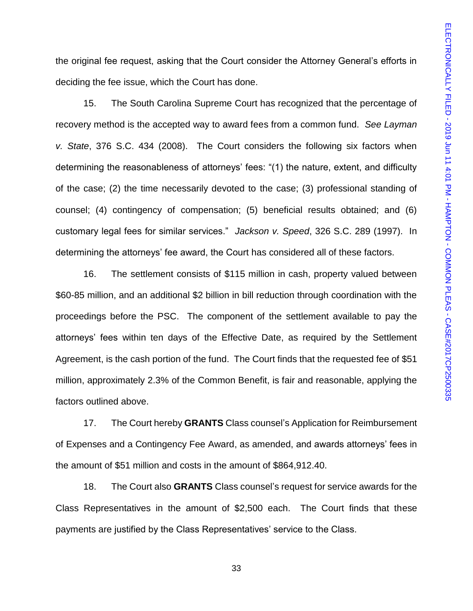the original fee request, asking that the Court consider the Attorney General's efforts in deciding the fee issue, which the Court has done.

15. The South Carolina Supreme Court has recognized that the percentage of recovery method is the accepted way to award fees from a common fund. *See Layman v. State*, 376 S.C. 434 (2008). The Court considers the following six factors when determining the reasonableness of attorneys' fees: "(1) the nature, extent, and difficulty of the case; (2) the time necessarily devoted to the case; (3) professional standing of counsel; (4) contingency of compensation; (5) beneficial results obtained; and (6) customary legal fees for similar services." *Jackson v. Speed*, 326 S.C. 289 (1997). In determining the attorneys' fee award, the Court has considered all of these factors.

16. The settlement consists of \$115 million in cash, property valued between \$60-85 million, and an additional \$2 billion in bill reduction through coordination with the proceedings before the PSC. The component of the settlement available to pay the attorneys' fees within ten days of the Effective Date, as required by the Settlement Agreement, is the cash portion of the fund. The Court finds that the requested fee of \$51 million, approximately 2.3% of the Common Benefit, is fair and reasonable, applying the factors outlined above.

17. The Court hereby **GRANTS** Class counsel's Application for Reimbursement of Expenses and a Contingency Fee Award, as amended, and awards attorneys' fees in the amount of \$51 million and costs in the amount of \$864,912.40.

18. The Court also **GRANTS** Class counsel's request for service awards for the Class Representatives in the amount of \$2,500 each. The Court finds that these payments are justified by the Class Representatives' service to the Class.

33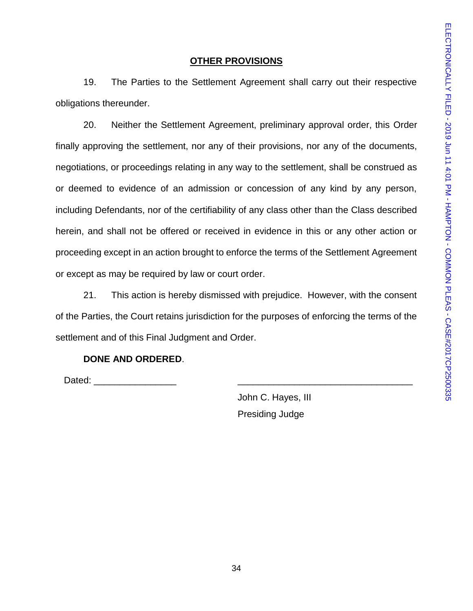# **OTHER PROVISIONS**

19. The Parties to the Settlement Agreement shall carry out their respective obligations thereunder.

20. Neither the Settlement Agreement, preliminary approval order, this Order finally approving the settlement, nor any of their provisions, nor any of the documents, negotiations, or proceedings relating in any way to the settlement, shall be construed as or deemed to evidence of an admission or concession of any kind by any person, including Defendants, nor of the certifiability of any class other than the Class described herein, and shall not be offered or received in evidence in this or any other action or proceeding except in an action brought to enforce the terms of the Settlement Agreement or except as may be required by law or court order.

21. This action is hereby dismissed with prejudice. However, with the consent of the Parties, the Court retains jurisdiction for the purposes of enforcing the terms of the settlement and of this Final Judgment and Order.

# **DONE AND ORDERED**.

Dated:  $\Box$ 

John C. Hayes, III Presiding Judge